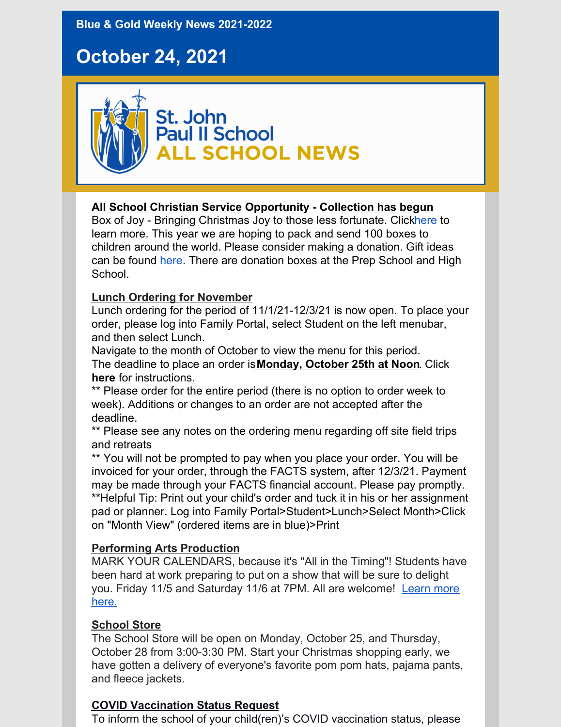**Blue & Gold Weekly News 2021-2022**

# **October 24, 2021**



#### **All School Christian Service Opportunity - Collection has begun**

Box of Joy - Bringing Christmas Joy to those less fortunate. Clic[khere](https://jpiihyannis.org/wp-content/uploads/2021/10/box-of-joy.pdf) to learn more. This year we are hoping to pack and send 100 boxes to children around the world. Please consider making a donation. Gift ideas can be found [here](https://jpiihyannis.org/wp-content/uploads/2021/10/gift-ideas.pdf). There are donation boxes at the Prep School and High School.

#### **Lunch Ordering for November**

Lunch ordering for the period of 11/1/21-12/3/21 is now open. To place your order, please log into Family Portal, select Student on the left menubar, and then select Lunch.

Navigate to the month of October to view the menu for this period. The deadline to place an order is**Monday, October 25th at Noon**. Click **[here](https://jpiihyannis.org/wp-content/uploads/2020/10/Lunch-Ordering-Instructions_Updated-10152020-2.pdf)** for instructions.

\*\* Please order for the entire period (there is no option to order week to week). Additions or changes to an order are not accepted after the deadline.

\*\* Please see any notes on the ordering menu regarding off site field trips and retreats

\*\* You will not be prompted to pay when you place your order. You will be invoiced for your order, through the FACTS system, after 12/3/21. Payment may be made through your FACTS financial account. Please pay promptly. \*\*Helpful Tip: Print out your child's order and tuck it in his or her assignment pad or planner. Log into Family Portal>Student>Lunch>Select Month>Click on "Month View" (ordered items are in blue)>Print

#### **Performing Arts Production**

MARK YOUR CALENDARS, because it's "All in the Timing"! Students have been hard at work preparing to put on a show that will be sure to delight you. Friday 11/5 and Saturday 11/6 at 7PM. All are [welcome!](https://jpiihyannis.org/all-in-the-timing-a-jpii-performing-arts-production/) Learn more here.

#### **School Store**

The School Store will be open on Monday, October 25, and Thursday, October 28 from 3:00-3:30 PM. Start your Christmas shopping early, we have gotten a delivery of everyone's favorite pom pom hats, pajama pants, and fleece jackets.

#### **COVID Vaccination Status Request**

To inform the school of your child(ren)'s COVID vaccination status, please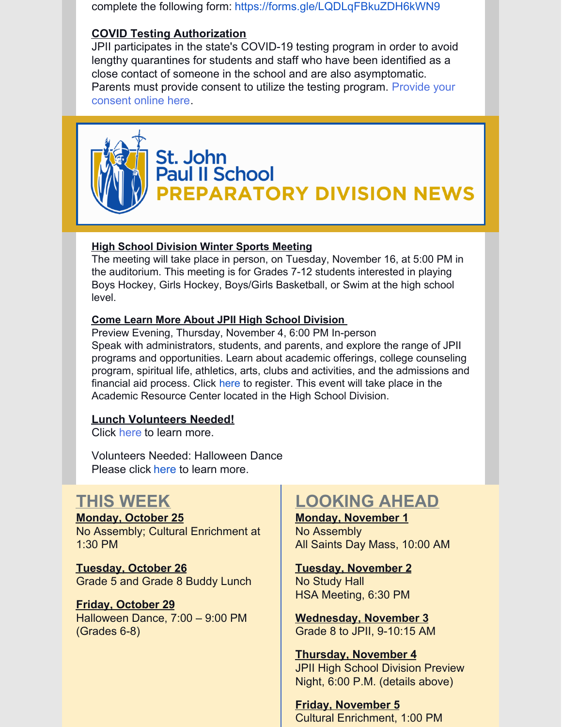complete the following form: <https://forms.gle/LQDLqFBkuZDH6kWN9>

#### **COVID Testing Authorization**

JPII participates in the state's COVID-19 testing program in order to avoid lengthy quarantines for students and staff who have been identified as a close contact of someone in the school and are also asymptomatic. Parents must provide consent to utilize the testing [program.](https://www.cic-health.com/consent/ma?district=null#consent) Provide your consent online here.



## St. John **Paul II School** REPARATORY DIVISION NEWS

#### **High School Division Winter Sports Meeting**

The meeting will take place in person, on Tuesday, November 16, at 5:00 PM in the auditorium. This meeting is for Grades 7-12 students interested in playing Boys Hockey, Girls Hockey, Boys/Girls Basketball, or Swim at the high school level.

#### **Come Learn More About JPII High School Division**

Preview Evening, Thursday, November 4, 6:00 PM In-person Speak with administrators, students, and parents, and explore the range of JPII programs and opportunities. Learn about academic offerings, college counseling program, spiritual life, athletics, arts, clubs and activities, and the admissions and financial aid process. Click [here](https://forms.gle/YZA69i9fCoZ9XZjeA) to register. This event will take place in the Academic Resource Center located in the High School Division.

#### **Lunch Volunteers Needed!**

Click [here](https://www.signupgenius.com/go/70a0d48a4ab23a6f58-sfxp) to learn more.

Volunteers Needed: Halloween Dance Please click [here](https://www.signupgenius.com/go/70A0D48A4AB23A6F58-20211029) to learn more.

### **THIS WEEK**

**Monday, October 25** No Assembly; Cultural Enrichment at 1:30 PM

**Tuesday, October 26** Grade 5 and Grade 8 Buddy Lunch

#### **Friday, October 29** Halloween Dance, 7:00 – 9:00 PM

(Grades 6-8)

## **LOOKING AHEAD**

#### **Monday, November 1** No Assembly All Saints Day Mass, 10:00 AM

**Tuesday, November 2** No Study Hall HSA Meeting, 6:30 PM

**Wednesday, November 3** Grade 8 to JPII, 9-10:15 AM

#### **Thursday, November 4** JPII High School Division Preview Night, 6:00 P.M. (details above)

**Friday, November 5** Cultural Enrichment, 1:00 PM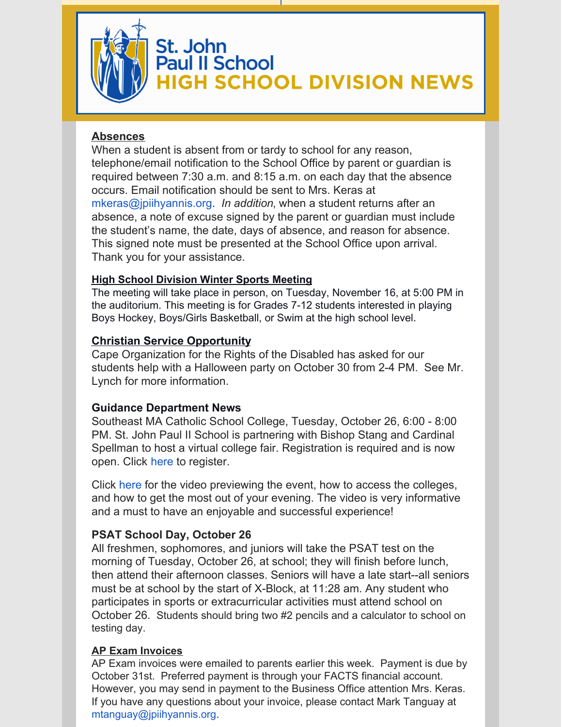

# St. John<br>Paul II School **GH SCHOOL DIVISION NEWS**

#### **Absences**

When a student is absent from or tardy to school for any reason, telephone/email notification to the School Office by parent or guardian is required between 7:30 a.m. and 8:15 a.m. on each day that the absence occurs. Email notification should be sent to Mrs. Keras at mkeras@jpiihyannis.org. *In addition*, when a student returns after an absence, a note of excuse signed by the parent or guardian must include the student's name, the date, days of absence, and reason for absence. This signed note must be presented at the School Office upon arrival. Thank you for your assistance.

#### **High School Division Winter Sports Meeting**

The meeting will take place in person, on Tuesday, November 16, at 5:00 PM in the auditorium. This meeting is for Grades 7-12 students interested in playing Boys Hockey, Boys/Girls Basketball, or Swim at the high school level.

#### **Christian Service Opportunity**

Cape Organization for the Rights of the Disabled has asked for our students help with a Halloween party on October 30 from 2-4 PM. See Mr. Lynch for more information.

#### **Guidance Department News**

Southeast MA Catholic School College, Tuesday, October 26, 6:00 - 8:00 PM. St. John Paul II School is partnering with Bishop Stang and Cardinal Spellman to host a virtual college fair. Registration is required and is now open. Click [here](https://catholicma.educationconnectlive.com/) to register.

Click [here](https://www.youtube.com/watch?v=IFjQZRmi988) for the video previewing the event, how to access the colleges, and how to get the most out of your evening. The video is very informative and a must to have an enjoyable and successful experience!

#### **PSAT School Day, October 26**

All freshmen, sophomores, and juniors will take the PSAT test on the morning of Tuesday, October 26, at school; they will finish before lunch, then attend their afternoon classes. Seniors will have a late start--all seniors must be at school by the start of X-Block, at 11:28 am. Any student who participates in sports or extracurricular activities must attend school on October 26. Students should bring two #2 pencils and a calculator to school on testing day.

#### **AP Exam Invoices**

AP Exam invoices were emailed to parents earlier this week. Payment is due by October 31st. Preferred payment is through your FACTS financial account. However, you may send in payment to the Business Office attention Mrs. Keras. If you have any questions about your invoice, please contact Mark Tanguay at mtanguay@jpiihyannis.org.